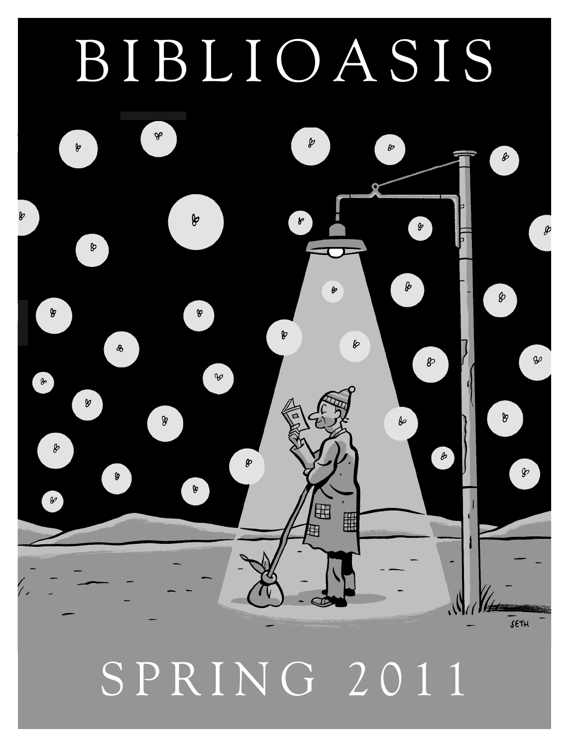# BIBLIOASIS



SPRING 2011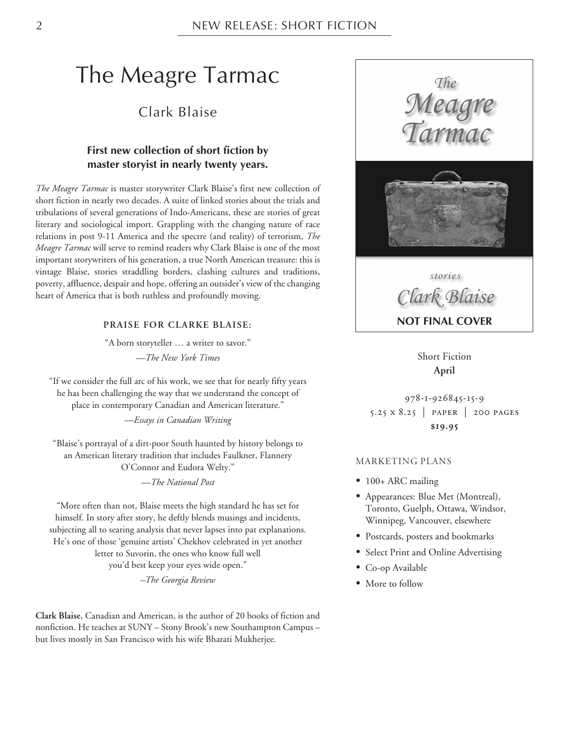# The Meagre Tarmac

#### Clark Blaise

#### **First new collection of short fiction by master storyist in nearly twenty years.**

*The Meagre Tarmac* is master storywriter Clark Blaise's first new collection of short fiction in nearly two decades. A suite of linked stories about the trials and tribulations of several generations of Indo-Americans, these are stories of great literary and sociological import. Grappling with the changing nature of race relations in post 9-11 America and the spectre (and reality) of terrorism, *The Meagre Tarmac* will serve to remind readers why Clark Blaise is one of the most important storywriters of his generation, a true North American treasure: this is vintage Blaise, stories straddling borders, clashing cultures and traditions, poverty, affluence, despair and hope, offering an outsider's view of the changing heart of America that is both ruthless and profoundly moving.

#### **PRAISE FOR CLARKE BLAISE:**

"A born storyteller … a writer to savor." *—The New York Times*

"If we consider the full arc of his work, we see that for nearly fifty years he has been challenging the way that we understand the concept of place in contemporary Canadian and American literature."

*—Essays in Canadian Writing*

"Blaise's portrayal of a dirt-poor South haunted by history belongs to an American literary tradition that includes Faulkner, Flannery O'Connor and Eudora Welty."

*—The National Post*

"More often than not, Blaise meets the high standard he has set for himself. In story after story, he deftly blends musings and incidents, subjecting all to searing analysis that never lapses into pat explanations. He's one of those 'genuine artists' Chekhov celebrated in yet another letter to Suvorin, the ones who know full well you'd best keep your eyes wide open."

*–The Georgia Review*

**Clark Blaise**, Canadian and American, is the author of 20 books of fiction and nonfiction. He teaches at SUNY – Stony Brook's new Southampton Campus – but lives mostly in San Francisco with his wife Bharati Mukherjee.





*stories Clark Blaise* **NOT FINAL COVER**

Short Fiction **April**

978-1-926845-15-9 5.25 x 8.25 | paper | 200 pages **\$19.95**

#### MARKETING PLANS

- 100+ ARC mailing
- Appearances: Blue Met (Montreal), Toronto, Guelph, Ottawa, Windsor, Winnipeg, Vancouver, elsewhere
- Postcards, posters and bookmarks
- Select Print and Online Advertising
- Co-op Available
- More to follow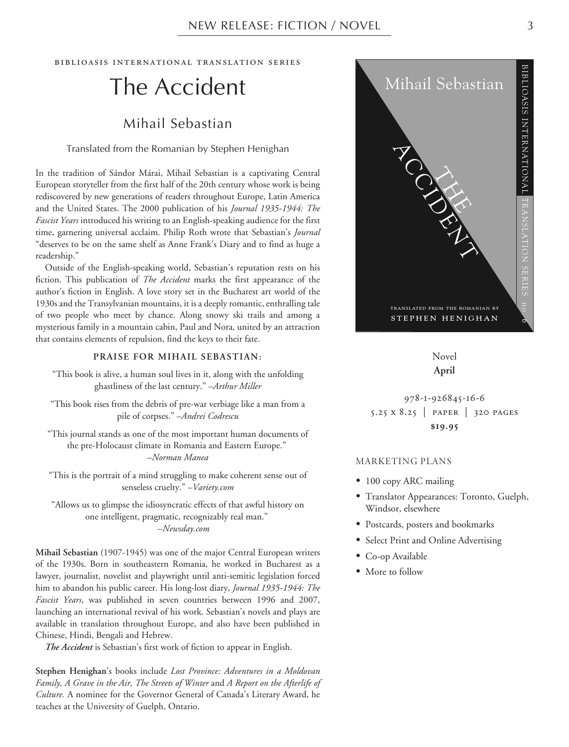biblioasis international translation series

# The Accident

#### Mihail Sebastian

Translated from the Romanian by Stephen Henighan

In the tradition of Sándor Márai, Mihail Sebastian is a captivating Central European storyteller from the first half of the 20th century whose work is being rediscovered by new generations of readers throughout Europe, Latin America and the United States. The 2000 publication of his *Journal 1935-1944: The Fascist Years* introduced his writing to an English-speaking audience for the first time, garnering universal acclaim. Philip Roth wrote that Sebastian's *Journal* "deserves to be on the same shelf as Anne Frank's Diary and to find as huge a readership."

Outside of the English-speaking world, Sebastian's reputation rests on his fiction. This publication of *The Accident* marks the first appearance of the author's fiction in English. A love story set in the Bucharest art world of the 1930s and the Transylvanian mountains, it is a deeply romantic, enthralling tale of two people who meet by chance. Along snowy ski trails and among a mysterious family in a mountain cabin, Paul and Nora, united by an attraction that contains elements of repulsion, find the keys to their fate.

#### **PRAISE FOR MIHAIL SEBASTIAN:**

"This book is alive, a human soul lives in it, along with the unfolding ghastliness of the last century." –*Arthur Miller*

"This book rises from the debris of pre-war verbiage like a man from a pile of corpses." –*Andrei Codrescu*

"This journal stands as one of the most important human documents of the pre-Holocaust climate in Romania and Eastern Europe." –*Norman Manea*

"This is the portrait of a mind struggling to make coherent sense out of senseless cruelty." –*Variety.com*

"Allows us to glimpse the idiosyncratic effects of that awful history on one intelligent, pragmatic, recognizably real man." –*Newsday.com*

**Mihail Sebastian** (1907-1945) was one of the major Central European writers of the 1930s. Born in southeastern Romania, he worked in Bucharest as a lawyer, journalist, novelist and playwright until anti-semitic legislation forced him to abandon his public career. His long-lost diary, *Journal 1935-1944: The Fascist Years*, was published in seven countries between 1996 and 2007, launching an international revival of his work. Sebastian's novels and plays are available in translation throughout Europe, and also have been published in Chinese, Hindi, Bengali and Hebrew.

*The Accident* is Sebastian's first work of fiction to appear in English.

**Stephen Henighan**'s books include *Lost Province: Adventures in a Moldovan Family, A Grave in the Air, The Streets of Winter* and *A Report on the Afterlife of Culture.* A nominee for the Governor General of Canada's Literary Award, he teaches at the University of Guelph, Ontario.



Novel **April**

978-1-926845-16-6 5.25 x 8.25 | paper | 320 pages **\$19.95**

#### MARKETING PLANS

- 100 copy ARC mailing
- Translator Appearances: Toronto, Guelph, Windsor, elsewhere
- Postcards, posters and bookmarks
- Select Print and Online Advertising
- Co-op Available
- More to follow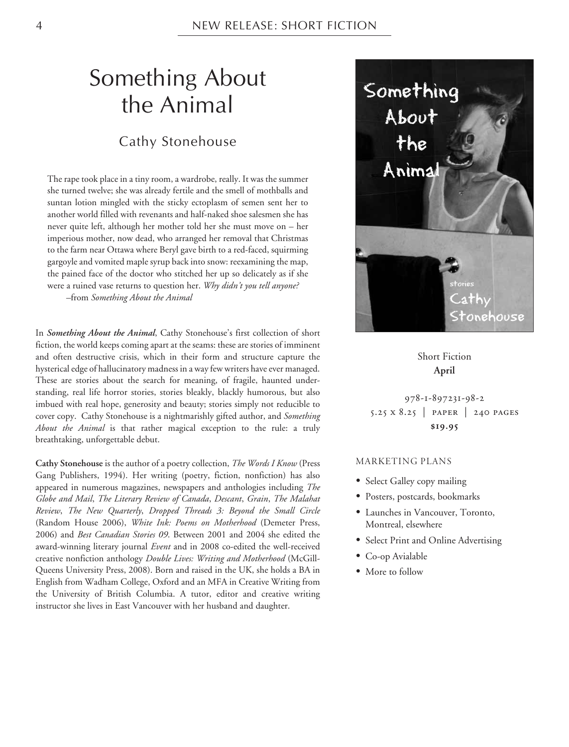# Something About the Animal

#### Cathy Stonehouse

The rape took place in a tiny room, a wardrobe, really. It was the summer she turned twelve; she was already fertile and the smell of mothballs and suntan lotion mingled with the sticky ectoplasm of semen sent her to another world filled with revenants and half-naked shoe salesmen she has never quite left, although her mother told her she must move on – her imperious mother, now dead, who arranged her removal that Christmas to the farm near Ottawa where Beryl gave birth to a red-faced, squirming gargoyle and vomited maple syrup back into snow: reexamining the map, the pained face of the doctor who stitched her up so delicately as if she were a ruined vase returns to question her. *Why didn't you tell anyone? –*from *Something About the Animal*

In *Something About the Animal*, Cathy Stonehouse's first collection of short fiction, the world keeps coming apart at the seams: these are stories of imminent and often destructive crisis, which in their form and structure capture the hysterical edge of hallucinatory madness in a way few writers have ever managed. These are stories about the search for meaning, of fragile, haunted understanding, real life horror stories, stories bleakly, blackly humorous, but also imbued with real hope, generosity and beauty; stories simply not reducible to cover copy. Cathy Stonehouse is a nightmarishly gifted author, and *Something About the Animal* is that rather magical exception to the rule: a truly breathtaking, unforgettable debut.

**Cathy Stonehouse** is the author of a poetry collection, *The Words I Know* (Press Gang Publishers, 1994). Her writing (poetry, fiction, nonfiction) has also appeared in numerous magazines, newspapers and anthologies including *The Globe and Mail*, *The Literary Review of Canada*, *Descant*, *Grain*, *The Malahat Review*, *The New Quarterly*, *Dropped Threads 3: Beyond the Small Circle* (Random House 2006), *White Ink: Poems on Motherhood* (Demeter Press, 2006) and *Best Canadian Stories 09*. Between 2001 and 2004 she edited the award-winning literary journal *Event* and in 2008 co-edited the well-received creative nonfiction anthology *Double Lives: Writing and Motherhood* (McGill-Queens University Press, 2008). Born and raised in the UK, she holds a BA in English from Wadham College, Oxford and an MFA in Creative Writing from the University of British Columbia. A tutor, editor and creative writing instructor she lives in East Vancouver with her husband and daughter.



Short Fiction **April**

978-1-897231-98-2 5.25 x 8.25 | paper | 240 pages **\$19.95**

#### MARKETING PLANS

- Select Galley copy mailing
- Posters, postcards, bookmarks
- Launches in Vancouver, Toronto, Montreal, elsewhere
- Select Print and Online Advertising
- Co-op Avialable
- More to follow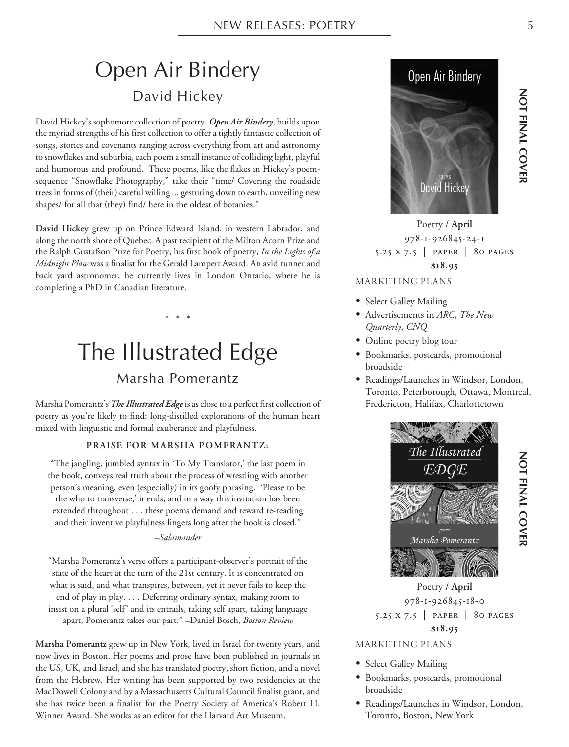# Open Air Bindery David Hickey

David Hickey's sophomore collection of poetry, *Open Air Bindery*, builds upon the myriad strengths of his first collection to offer a tightly fantastic collection of songs, stories and covenants ranging across everything from art and astronomy to snowflakes and suburbia, each poem a small instance of colliding light, playful and humorous and profound. These poems, like the flakes in Hickey's poemsequence "Snowflake Photography," take their "time/ Covering the roadside trees in forms of (their) careful willing ... gesturing down to earth, unveiling new shapes/ for all that (they) find/ here in the oldest of botanies."

**David Hickey** grew up on Prince Edward Island, in western Labrador, and along the north shore of Quebec. A past recipient of the Milton Acorn Prize and the Ralph Gustafson Prize for Poetry, his first book of poetry, *In the Lights of a Midnight Plow* was a finalist for the Gerald Lampert Award. An avid runner and back yard astronomer, he currently lives in London Ontario, where he is completing a PhD in Canadian literature.

# The Illustrated Edge

\* \* \*

## Marsha Pomerantz

Marsha Pomerantz's *The Illustrated Edge*is as close to a perfect first collection of poetry as you're likely to find: long-distilled explorations of the human heart mixed with linguistic and formal exuberance and playfulness.

#### **PRAISE FOR MARSHA POMERANTZ:**

"The jangling, jumbled syntax in 'To My Translator,' the last poem in the book, conveys real truth about the process of wrestling with another person's meaning, even (especially) in its goofy phrasing. 'Please to be the who to transverse,' it ends, and in a way this invitation has been extended throughout . . . these poems demand and reward re-reading and their inventive playfulness lingers long after the book is closed."

#### *–Salamander*

"Marsha Pomerantz's verse offers a participant-observer's portrait of the state of the heart at the turn of the 21st century. It is concentrated on what is said, and what transpires, between, yet it never fails to keep the end of play in play. . . . Deferring ordinary syntax, making room to insist on a plural 'self' and its entrails, taking self apart, taking language apart, Pomerantz takes our part." –Daniel Bosch, *Boston Review*

**Marsha Pomerantz** grew up in New York, lived in Israel for twenty years, and now lives in Boston. Her poems and prose have been published in journals in the US, UK, and Israel, and she has translated poetry, short fiction, and a novel from the Hebrew. Her writing has been supported by two residencies at the MacDowell Colony and by a Massachusetts Cultural Council finalist grant, and she has twice been a finalist for the Poetry Society of America's Robert H. Winner Award. She works as an editor for the Harvard Art Museum.



MARKETING PLANS Poetry / **April** 978-1-926845-24-1 5.25 x 7.5 | paper | 80 pages **\$18.95**

- Select Galley Mailing • Advertisements in *ARC*, *The New*
- *Quarterly*, *CNQ*
- Online poetry blog tour
- Bookmarks, postcards, promotional broadside
- Readings/Launches in Windsor, London, Toronto, Peterborough, Ottawa, Montreal, Fredericton, Halifax, Charlottetown



Poetry / **April** 978-1-926845-18-0 5.25 x 7.5 | paper | 80 pages **\$18.95**

#### MARKETING PLANS

- Select Galley Mailing
- Bookmarks, postcards, promotional broadside
- Readings/Launches in Windsor, London, Toronto, Boston, New York

 **NOT FINAL COVER**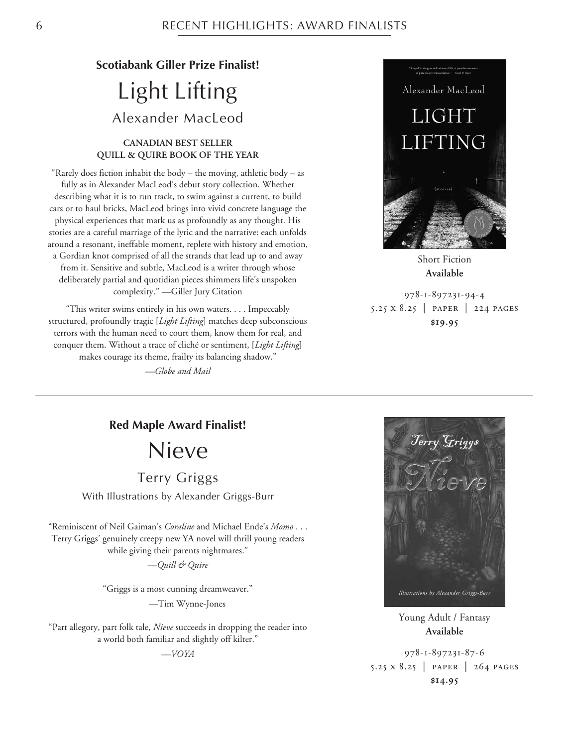### **Scotiabank Giller Prize Finalist!**

# Light Lifting Alexander MacLeod

#### **CANADIAN BEST SELLER QUILL & QUIRE BOOK OF THE YEAR**

"Rarely does fiction inhabit the body – the moving, athletic body – as fully as in Alexander MacLeod's debut story collection. Whether describing what it is to run track, to swim against a current, to build cars or to haul bricks, MacLeod brings into vivid concrete language the physical experiences that mark us as profoundly as any thought. His stories are a careful marriage of the lyric and the narrative: each unfolds around a resonant, ineffable moment, replete with history and emotion, a Gordian knot comprised of all the strands that lead up to and away from it. Sensitive and subtle, MacLeod is a writer through whose deliberately partial and quotidian pieces shimmers life's unspoken complexity." —Giller Jury Citation

"This writer swims entirely in his own waters. . . . Impeccably structured, profoundly tragic [*Light Lifting*] matches deep subconscious terrors with the human need to court them, know them for real, and conquer them. Without a trace of cliché or sentiment, [*Light Lifting*] makes courage its theme, frailty its balancing shadow."

*—Globe and Mail*



**Available**

978-1-897231-94-4 5.25 x 8.25 | paper | 224 pages **\$19.95**

#### **Red Maple Award Finalist!**

Nieve

Terry Griggs

With Illustrations by Alexander Griggs-Burr

"Reminiscent of Neil Gaiman's *Coraline* and Michael Ende's *Momo* . . . Terry Griggs' genuinely creepy new YA novel will thrill young readers while giving their parents nightmares."

*—Quill & Quire*

"Griggs is a most cunning dreamweaver."

*—*Tim Wynne-Jones

"Part allegory, part folk tale, *Nieve* succeeds in dropping the reader into a world both familiar and slightly off kilter."

*—VOYA*



Young Adult / Fantasy **Available**

978-1-897231-87-6 5.25 x 8.25 | paper | 264 pages **\$14.95**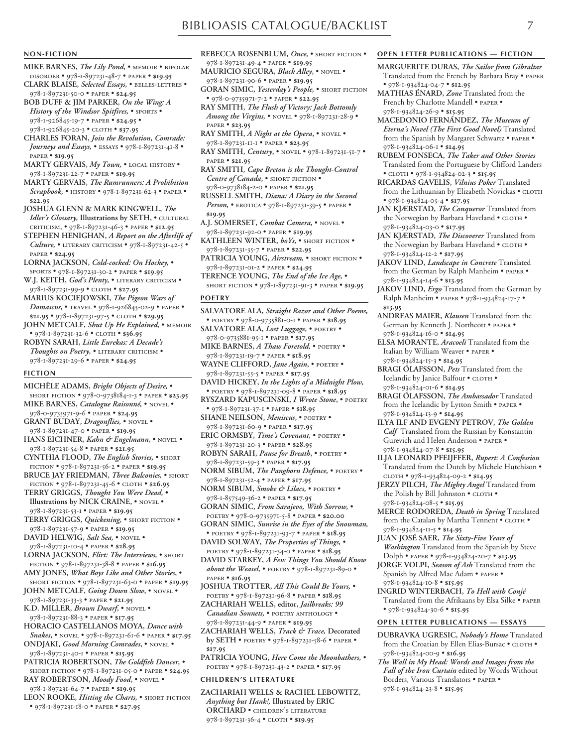#### **NON-FICTION**

- **MIKE BARNES,** *The Lily Pond,* memoir bipolar disorder • 978-1-897231-48-7 • paper • **\$19.95**
- **CLARK BLAISE,** *Selected Essays,* belles-lettres 978-1-897231-50-0 • paper • **\$24.95**
- **BOB DUFF & JIM PARKER,** *On the Wing: A History of the Windsor Spitfires,* • SPORTS • 978-1-926845-19-7 • paper • **\$24.95** • 978-1-926845-20-3 • cloth • **\$37.95**
- **CHARLES FORAN,** *Join the Revolution, Comrade: Journeys and Essays,* • essays • 978-1-897231-41-8 • paper • **\$19.95**
- **MARTY GERVAIS,** *My Town,* local history 978-1-897231-22-7 • paper • **\$19.95**
- **MARTY GERVAIS,** *The Rumrunners: A Prohibition Scrapbook,* • history • 978-1-897231-62-3 • paper • **\$22.95**
- **JOSHUA GLENN & MARK KINGWELL,** *The Idler's Glossary*, Illustrations by SETH, . CULTURAL criticism, • 978-1-897231-46-3 • paper • **\$12.95**
- **STEPHEN HENIGHAN,** *A Report on the Afterlife of Culture,* • literary criticism • 978-1-897231-42-5 • paper • **\$24.95**
- **LORNA JACKSON,** *Cold-cocked: On Hockey,* sports • 978-1-897231-30-2 • paper • **\$19.95**
- W.J. KEITH, God's Plenty, . LITERARY CRITICISM . 978-1-897231-99-9 • cloth • **\$27.95**
- **MARIUS KOCIEJOWSKI,** *The Pigeon Wars of Damascus,* • travel • 978-1-926845-02-9 • paper • **\$21.95** • 978-1-897231-97-5 • cloth • **\$29.95**
- **JOHN METCALF,** *Shut Up He Explained,* memoir • 978-1-897231-32-6 • cloth • **\$36.95**
- **ROBYN SARAH,** *Little Eurekas: A Decade's* Thoughts on Poetry,  $\bullet$  LITERARY CRITICISM  $\bullet$ 978-1-897231-29-6 • paper • **\$24.95**

#### **FICTION**

- **MICHÈLE ADAMS,** *Bright Objects of Desire,* short fiction • 978-0-9738184-1-3 • paper • **\$23.95**
- **MIKE BARNES,** *Catalogue Raisonné,* novel 978-0-9735971-9-6 • paper • **\$24.95**
- **GRANT BUDAY,** *Dragonflies,* novel 978-1-897231-47-0 • paper • **\$19.95**
- **HANS EICHNER,** *Kahn & Engelmann***,** novel 978-1-897231-54-8 • paper • **\$21.95**
- **CYNTHIA FLOOD,** *The English Stories,* short fiction • 978-1-897231-56-2 • paper • **\$19.95**
- **BRUCE JAY FRIEDMAN,** *Three Balconies,* short fiction • 978-1-897231-45-6 • cloth • **\$26.95**
- **TERRY GRIGGS,** *Thought You Were Dead,* **• Illustrations by NICK CRAINE,** • novel •
- 978-1-897231-53-1 paper **\$19.95**
- **TERRY GRIGGS,** *Quickening,* short fiction 978-1-897231-57-9 • paper • **\$19.95**
- **DAVID HELWIG,** *Salt Sea,* novel 978-1-897231-10-4 • paper • **\$28.95**
- **LORNA JACKSON,** *Flirt: The Interviews,* short fiction • 978-1-897231-38-8 • paper • **\$16.95**
- **AMY JONES,** *What Boys Like and Other Stories***,** short fiction • 978-1-897231-63-0 • paper • **\$19.95 JOHN METCALF,** *Going Down Slow***,** • novel •
- 978-1-897231-33-3 paper **\$21.95**
- **K.D. MILLER,** *Brown Dwarf***,** novel 978-1-897231-88-3 • paper • **\$17.95**
- **HORACIO CASTELLANOS MOYA,** *Dance with Snakes***,** • novel • 978-1-897231-61-6 • paper • **\$17.95**
- **ONDJAKI,** *Good Morning Comrades***,** novel 978-1-897231-40-1 • paper • **\$15.95**
- **PATRICIA ROBERTSON,** *The Goldfish Dancer,* short fiction • 978-1-897231-05-0 • paper • **\$24.95**
- **RAY ROBERTSON,** *Moody Food***,** novel 978-1-897231-64-7 • paper • **\$19.95**
- **LEON ROOKE,** *Hitting the Charts,* short fiction • 978-1-897231-18-0 • paper • **\$27.95**
- **REBECCA ROSENBLUM,** *Once,* short fiction 978-1-897231-49-4 • paper • **\$19.95**
- **MAURICIO SEGURA,** *Black Alley***,** novel 978-1-897231-90-6 • paper • **\$19.95**
- GORAN SIMIC, *Yesterday's People*, SHORT FICTION • 978-0-9735971-7-2 • paper • **\$22.95**
- **RAY SMITH,** *The Flush of Victory: Jack Bottomly Among the Virgins,* • novel • 978-1-897231-28-9 • paper • **\$23.95**
- **RAY SMITH,** *A Night at the Opera***,** novel 978-1-897231-11-1 • paper • **\$23.95**
- **RAY SMITH,** *Century***,** novel 978-1-897231-51-7 paper • **\$21.95**
- **RAY SMITH,** *Cape Breton is the Thought-Control Centre of Canada***,** • short fiction • 978-0-9738184-2-0 • paper • **\$21.95**
- **RUSSELL SMITH,** *Diana: A Diary in the Second* Person, • EROTICA • 978-1-897231-39-5 • PAPER • **\$19.95**
- **A.J. SOMERSET,** *Combat Camera,* novel 978-1-897231-92-0 • paper • **\$19.95**
- **KATHLEEN WINTER,** *boYs,* short fiction 978-1-897231-35-7 • paper • **\$22.95**
- **PATRICIA YOUNG,** *Airstream,* short fiction 978-1-897231-01-2 • paper • **\$24.95**
- **TERENCE YOUNG,** *The End of the Ice Age,* short fiction • 978-1-897231-91-3 • paper • **\$19.95**

#### **POETRY**

- **SALVATORE ALA,** *Straight Razor and Other Poems,* • poetry • 978-0-9735881-0-1 • paper • **\$18.95**
- **SALVATORE ALA,** *Lost Luggage,* poetry 978-0-9735881-95-1 • paper • **\$17.95**
- MIKE BARNES, A Thaw Foretold, . POETRY . 978-1-897231-19-7 • paper • **\$18.95**
- **WAYNE CLIFFORD,** *Jane Again***,** poetry •
- 978-1-897231-55-5 paper **\$17.95**
- **DAVID HICKEY,** *In the Lights of a Midnight Plow,* • poetry • 978-1-897231-09-8 • paper • **\$18.95**
- **RYSZARD KAPUSCINSKI,** *I Wrote Stone***,** poetry • 978-1-897231-37-1 • paper • **\$18.95**
- **SHANE NEILSON,** *Meniscus***,** poetry 978-1-897231-60-9 • paper • **\$17.95**
- **ERIC ORMSBY,** *Time's Covenant,* poetry 978-1-897231-20-3 • paper • **\$28.95**
- **ROBYN SARAH,** *Pause for Breath***,** poetry 978-1-897231-59-3 • paper • **\$17.95**
- NORM SIBUM, The Pangborn Defence, . POETRY . 978-1-897231-52-4 • paper • **\$17.95**
- **NORM SIBUM,** *Smoke & Lilacs,* poetry 978-1-857549-36-2 • paper • **\$17.95**
- **GORAN SIMIC,** *From Sarajevo, With Sorrow,* poetry • 978-0-9735971-5-8 • paper • **\$20.00**
- **GORAN SIMIC,** *Sunrise in the Eyes of the Snowman,* • poetry • 978-1-897231-93-7 • paper • **\$18.95 DAVID SOLWAY,** *The Properties of Things,* •
- poetry 978-1-897231-34-0 paper **\$18.95 DAVID STARKEY,** *A Few Things You Should Know*
- *about the Weasel,* POETRY 978-1-897231-89-0 paper • **\$16.95**
- **JOSHUA TROTTER,** *All This Could Be Yours,* poetry • 978-1-897231-96-8 • paper • **\$18.95 ZACHARIAH WELLS, editor,** *Jailbreaks: 99* Canadian Sonnets, . POETRY ANTHOLOGY . 978-1-897231-44-9 • paper • **\$19.95**
- **ZACHARIAH WELLS,** *Track & Trace,* **Decorated by SETH** • poetry • 978-1-897231-58-6 • paper • **\$17.95**
- **PATRICIA YOUNG,** *Here Come the Moonbathers,* poetry • 978-1-897231-43-2 • paper • **\$17.95**

#### **CHILDREN'S LITERATURE**

**ZACHARIAH WELLS & RACHEL LEBOWITZ,** *Anything but Hank!,* **Illustrated by ERIC ORCHARD** • children's literature 978-1-897231-36-4 • cloth • **\$19.95**

#### **OPEN LETTER PUBLICATIONS — FICTION**

- **MARGUERITE DURAS,** *The Sailor from Gibraltar* Translated from the French by Barbara Bray • paper • 978-1-934824-04-7 • **\$12.95**
- **MATHIAS ÉNARD,** *Zone* Translated from the French by Charlotte Mandell • paper • 978-1-934824-26-9 • **\$15.95**
- **MACEDONIO FERNÁNDEZ,** *The Museum of Eterna's Novel (The First Good Novel)* Translated from the Spanish by Margaret Schwartz • paper • 978-1-934824-06-1 • **\$14.95**
- **RUBEM FONSECA,** *The Taker and Other Stories* Translated from the Portuguese by Clifford Landers • cloth • 978-1-934824-02-3 • **\$15.95**
- **RICARDAS GAVELIS,** *Vilnius Poker* Translated from the Lithuanian by Elizabeth Novickas · CLOTH • 978-1-934824-05-4 • **\$17.95**
- **JAN KJÆRSTAD,** *The Conqueror* Translated from the Norwegian by Barbara Haveland • CLOTH • 978-1-934824-03-0 • **\$17.95**
- **JAN KJÆRSTAD,** *The Discoverer* Translated from the Norwegian by Barbara Haveland • CLOTH • 978-1-934824-12-2 • **\$17.95**
- **JAKOV LIND,** *Landscape in Concrete* Translated from the German by Ralph Manheim • paper • 978-1-934824-14-6 • **\$13.95**
- **JAKOV LIND,** *Ergo* Translated from the German by Ralph Manheim • paper • 978-1-934824-17-7 • **\$13.95**
- **ANDREAS MAIER,** *Klausen* Translated from the German by Kenneth J. Northcott • paper • 978-1-934824-16-0 • **\$14.95**
- **ELSA MORANTE,** *Aracoeli* Translated from the Italian by William Weaver • paper • 978-1-934824-15-3 • **\$14.95**
- **BRAGI ÓLAFSSON,** *Pets* Translated from the Icelandic by Janice Balfour • CLOTH • 978-1-934824-01-6 • **\$14.95**
- **BRAGI ÓLAFSSON,** *The Ambassador* Translated from the Icelandic by Lytton Smith • paper • 978-1-934824-13-9 • **\$14.95**
- **ILYA ILF AND EVGENY PETROV,** *The Golden Calf* Translated from the Russian by Konstantin Gurevich and Helen Anderson • paper • 978-1-934824-07-8 • **\$15.95**
- **ILJA LEONARD PFEIJFFER,** *Rupert: A Confession* Translated from the Dutch by Michele Hutchison • cloth • 978-1-934824-09-2 • **\$14.95**
- **JERZY PILCH,** *The Mighty Angel* Translated from the Polish by Bill Johnston •  $\textsc{c\textsc{ic}\,}$  • 978-1-934824-08-5 • **\$15.95**
- **MERCE RODOREDA,** *Death in Spring* Translated from the Catalan by Martha Tennent • CLOTH • 978-1-934824-11-5 • **\$14.95**
- **JUAN JOSÉ SAER,** *The Sixty-Five Years of Washington* Translated from the Spanish by Steve Dolph • paper • 978-1-934824-20-7 • **\$13.95**
- **JORGE VOLPI,** *Season of Ash* Translated from the Spanish by Alfred Mac Adam • paper • 978-1-934824-10-8 • **\$15.95**
- **INGRID WINTERBACH,** *To Hell with Conjé* Translated from the Afrikaans by Elsa Silke • paper • 978-1-934824-30-6 • **\$15.95**

#### **OPEN LETTER PUBLICATIONS — ESSAYS**

- **DUBRAVKA UGRESIC,** *Nobody's Home* Translated from the Croatian by Ellen Elias-Bursac . CLOTH . 978-1-934824-00-9 • **\$16.95**
- *The Wall in My Head: Words and Images from the Fall of the Iron Curtain* edited by Words Without Borders, Various Translators • paper • 978-1-934824-23-8 • **\$15.95**